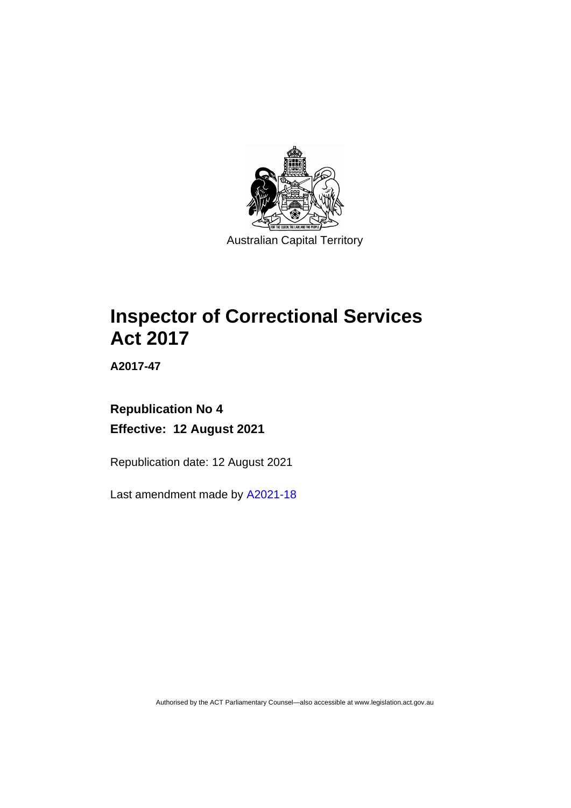

# **Inspector of Correctional Services Act 2017**

**A2017-47**

# **Republication No 4 Effective: 12 August 2021**

Republication date: 12 August 2021

Last amendment made by [A2021-18](http://www.legislation.act.gov.au/a/2021-18/)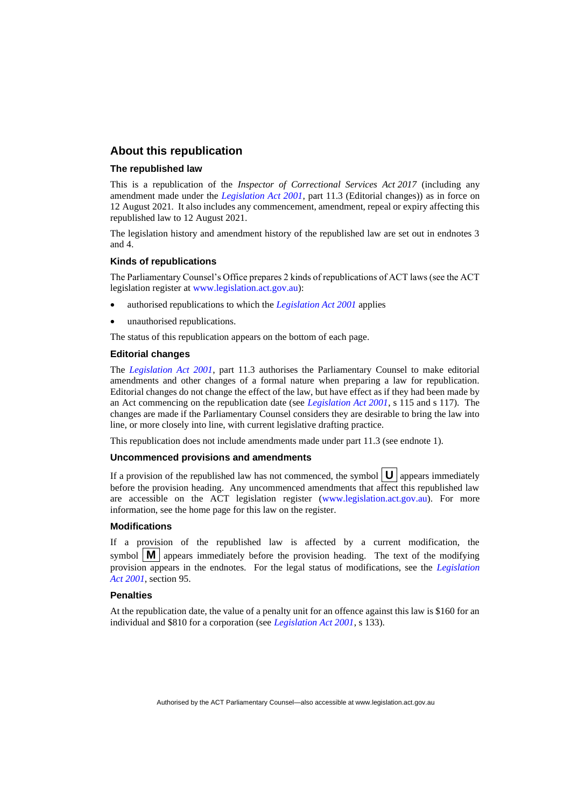### **About this republication**

#### **The republished law**

This is a republication of the *Inspector of Correctional Services Act 2017* (including any amendment made under the *[Legislation Act 2001](http://www.legislation.act.gov.au/a/2001-14)*, part 11.3 (Editorial changes)) as in force on 12 August 2021*.* It also includes any commencement, amendment, repeal or expiry affecting this republished law to 12 August 2021.

The legislation history and amendment history of the republished law are set out in endnotes 3 and 4.

#### **Kinds of republications**

The Parliamentary Counsel's Office prepares 2 kinds of republications of ACT laws (see the ACT legislation register at [www.legislation.act.gov.au\)](http://www.legislation.act.gov.au/):

- authorised republications to which the *[Legislation Act 2001](http://www.legislation.act.gov.au/a/2001-14)* applies
- unauthorised republications.

The status of this republication appears on the bottom of each page.

#### **Editorial changes**

The *[Legislation Act 2001](http://www.legislation.act.gov.au/a/2001-14)*, part 11.3 authorises the Parliamentary Counsel to make editorial amendments and other changes of a formal nature when preparing a law for republication. Editorial changes do not change the effect of the law, but have effect as if they had been made by an Act commencing on the republication date (see *[Legislation Act 2001](http://www.legislation.act.gov.au/a/2001-14)*, s 115 and s 117). The changes are made if the Parliamentary Counsel considers they are desirable to bring the law into line, or more closely into line, with current legislative drafting practice.

This republication does not include amendments made under part 11.3 (see endnote 1).

#### **Uncommenced provisions and amendments**

If a provision of the republished law has not commenced, the symbol  $\mathbf{U}$  appears immediately before the provision heading. Any uncommenced amendments that affect this republished law are accessible on the ACT legislation register [\(www.legislation.act.gov.au\)](http://www.legislation.act.gov.au/). For more information, see the home page for this law on the register.

#### **Modifications**

If a provision of the republished law is affected by a current modification, the symbol  $\mathbf{M}$  appears immediately before the provision heading. The text of the modifying provision appears in the endnotes. For the legal status of modifications, see the *[Legislation](http://www.legislation.act.gov.au/a/2001-14)  Act [2001](http://www.legislation.act.gov.au/a/2001-14)*, section 95.

#### **Penalties**

At the republication date, the value of a penalty unit for an offence against this law is \$160 for an individual and \$810 for a corporation (see *[Legislation Act 2001](http://www.legislation.act.gov.au/a/2001-14)*, s 133).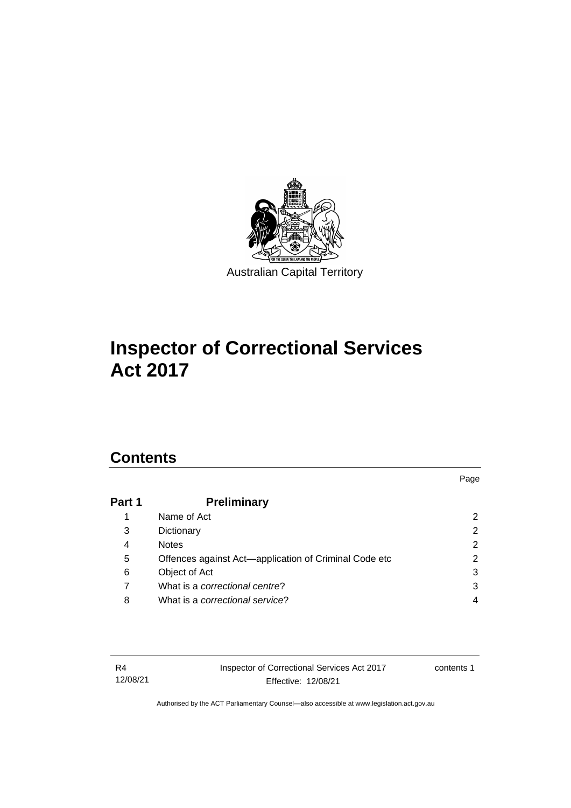

# **Inspector of Correctional Services Act 2017**

# **Contents**

# **Part 1 [Preliminary](#page-7-0)** 1 [Name of Act](#page-7-1) 2 3 [Dictionary](#page-7-2) 2 4 [Notes](#page-7-3) 2 5 [Offences against Act—application of Criminal Code etc](#page-7-4) 2 6 [Object of Act](#page-8-0) 3 7 What is a *[correctional centre](#page-8-1)*? 3 8 What is a *[correctional service](#page-9-0)*? 4

| R4       |  |
|----------|--|
| 12/08/21 |  |

Inspector of Correctional Services Act 2017 Effective: 12/08/21

contents 1

Page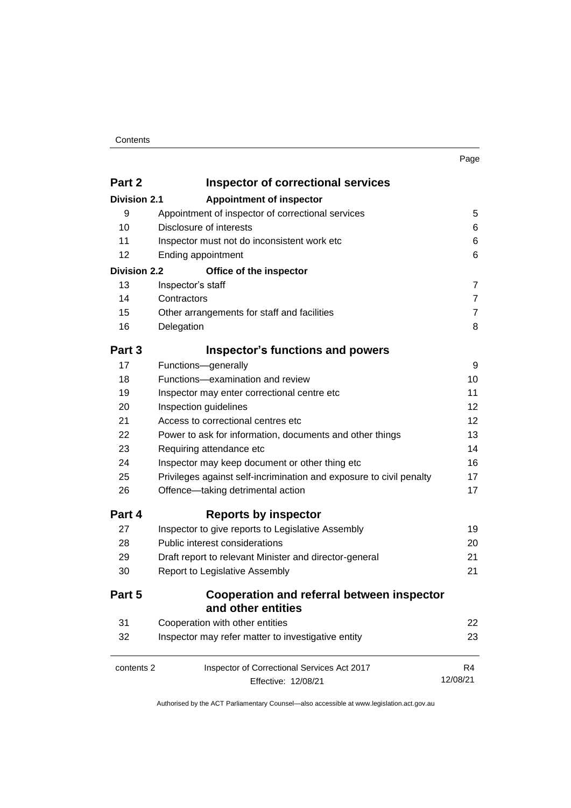#### **Contents**

| ×<br>× |  |
|--------|--|
|        |  |

| Part 2               | <b>Inspector of correctional services</b>                                                                  |                                                |                                                                                      |  |  |  |
|----------------------|------------------------------------------------------------------------------------------------------------|------------------------------------------------|--------------------------------------------------------------------------------------|--|--|--|
| <b>Division 2.1</b>  | <b>Appointment of inspector</b>                                                                            |                                                |                                                                                      |  |  |  |
| 9                    | Appointment of inspector of correctional services                                                          | 5                                              |                                                                                      |  |  |  |
| 10                   | Disclosure of interests                                                                                    |                                                |                                                                                      |  |  |  |
| 11                   | Inspector must not do inconsistent work etc                                                                | 6                                              |                                                                                      |  |  |  |
| 12                   | Ending appointment                                                                                         | 6                                              |                                                                                      |  |  |  |
| <b>Division 2.2</b>  | Office of the inspector                                                                                    |                                                |                                                                                      |  |  |  |
| 13                   | Inspector's staff                                                                                          | $\overline{7}$                                 |                                                                                      |  |  |  |
| 14                   | Contractors                                                                                                | $\overline{7}$                                 |                                                                                      |  |  |  |
| 15                   | Other arrangements for staff and facilities                                                                | $\overline{7}$                                 |                                                                                      |  |  |  |
| 16                   | Delegation                                                                                                 | 8                                              |                                                                                      |  |  |  |
| Part 3               | <b>Inspector's functions and powers</b>                                                                    |                                                |                                                                                      |  |  |  |
| 17                   | Functions-generally                                                                                        | 9                                              |                                                                                      |  |  |  |
| 18                   | Functions-examination and review                                                                           | 10                                             |                                                                                      |  |  |  |
| 19<br>20<br>21<br>22 | Inspector may enter correctional centre etc<br>Inspection guidelines<br>Access to correctional centres etc |                                                |                                                                                      |  |  |  |
|                      |                                                                                                            |                                                | Power to ask for information, documents and other things<br>Requiring attendance etc |  |  |  |
|                      |                                                                                                            |                                                |                                                                                      |  |  |  |
|                      | 24                                                                                                         | Inspector may keep document or other thing etc | 16                                                                                   |  |  |  |
| 25                   | Privileges against self-incrimination and exposure to civil penalty                                        | 17                                             |                                                                                      |  |  |  |
| 26                   | Offence-taking detrimental action                                                                          | 17                                             |                                                                                      |  |  |  |
| Part 4               | <b>Reports by inspector</b>                                                                                |                                                |                                                                                      |  |  |  |
| 27                   | Inspector to give reports to Legislative Assembly                                                          | 19                                             |                                                                                      |  |  |  |
| 28                   | Public interest considerations                                                                             | 20                                             |                                                                                      |  |  |  |
| 29                   | Draft report to relevant Minister and director-general                                                     | 21                                             |                                                                                      |  |  |  |
| 30                   | Report to Legislative Assembly                                                                             |                                                |                                                                                      |  |  |  |
| Part 5               | Cooperation and referral between inspector                                                                 |                                                |                                                                                      |  |  |  |
|                      | and other entities                                                                                         |                                                |                                                                                      |  |  |  |
| 31                   | Cooperation with other entities                                                                            | 22                                             |                                                                                      |  |  |  |
| 32                   | Inspector may refer matter to investigative entity                                                         | 23                                             |                                                                                      |  |  |  |
| contents 2           | Inspector of Correctional Services Act 2017                                                                | R4                                             |                                                                                      |  |  |  |
|                      | Effective: 12/08/21                                                                                        | 12/08/21                                       |                                                                                      |  |  |  |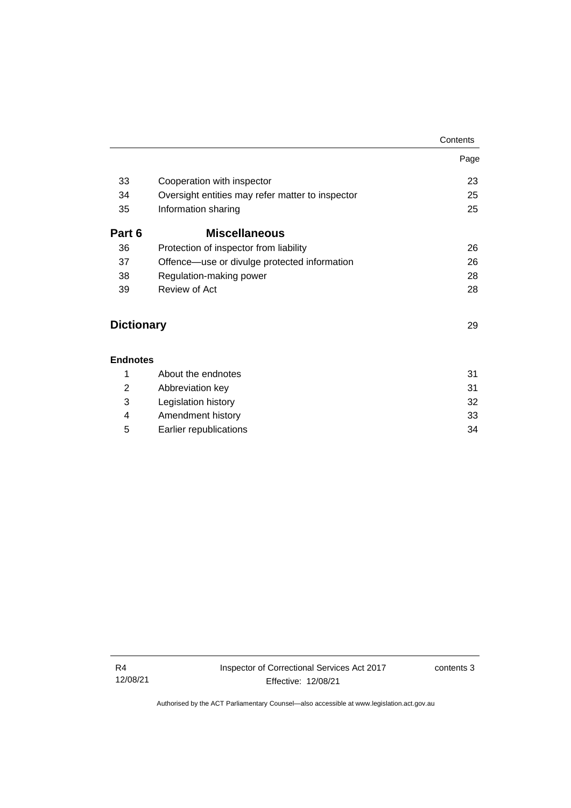|                   |                                                  | Contents |
|-------------------|--------------------------------------------------|----------|
|                   |                                                  | Page     |
| 33                | Cooperation with inspector                       | 23       |
| 34                | Oversight entities may refer matter to inspector | 25       |
| 35                | Information sharing                              | 25       |
| Part 6            | <b>Miscellaneous</b>                             |          |
| 36                | Protection of inspector from liability           | 26       |
| 37                | Offence—use or divulge protected information     | 26       |
| 38                | Regulation-making power                          | 28       |
| 39                | Review of Act                                    | 28       |
| <b>Dictionary</b> |                                                  | 29       |
| <b>Endnotes</b>   |                                                  |          |
| 1                 | About the endnotes                               | 31       |
| $\overline{2}$    | Abbreviation key                                 | 31       |
| 3                 | Legislation history                              | 32       |
| 4                 | Amendment history                                | 33       |
|                   |                                                  |          |

5 [Earlier republications](#page-39-0) 34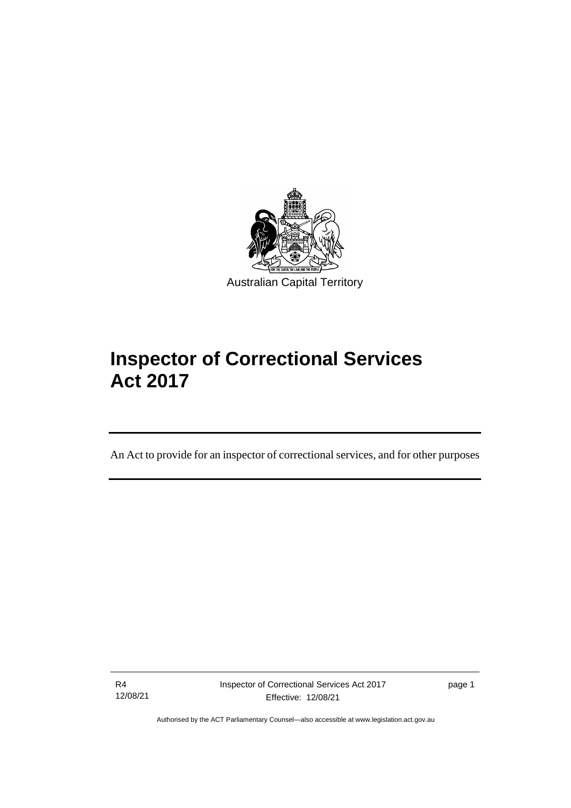

# **Inspector of Correctional Services Act 2017**

An Act to provide for an inspector of correctional services, and for other purposes

R4 12/08/21

ֺֺ֡

page 1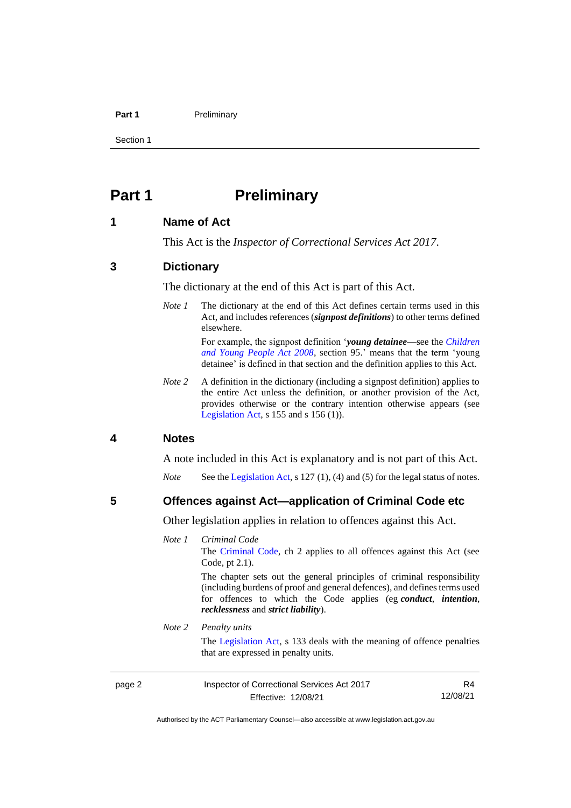#### **Part 1** Preliminary

Section 1

# <span id="page-7-0"></span>**Part 1 Preliminary**

### <span id="page-7-1"></span>**1 Name of Act**

This Act is the *Inspector of Correctional Services Act 2017*.

#### <span id="page-7-2"></span>**3 Dictionary**

The dictionary at the end of this Act is part of this Act.

*Note 1* The dictionary at the end of this Act defines certain terms used in this Act, and includes references (*signpost definitions*) to other terms defined elsewhere.

> For example, the signpost definition '*young detainee—*see the *[Children](http://www.legislation.act.gov.au/a/2008-19)  [and Young People Act 2008](http://www.legislation.act.gov.au/a/2008-19)*, section 95.' means that the term 'young detainee' is defined in that section and the definition applies to this Act.

*Note* 2 A definition in the dictionary (including a signpost definition) applies to the entire Act unless the definition, or another provision of the Act, provides otherwise or the contrary intention otherwise appears (see [Legislation Act,](http://www.legislation.act.gov.au/a/2001-14)  $s$  155 and  $s$  156 (1)).

### <span id="page-7-3"></span>**4 Notes**

A note included in this Act is explanatory and is not part of this Act.

*Note* See the [Legislation Act,](http://www.legislation.act.gov.au/a/2001-14) s 127 (1), (4) and (5) for the legal status of notes.

#### <span id="page-7-4"></span>**5 Offences against Act—application of Criminal Code etc**

Other legislation applies in relation to offences against this Act.

#### *Note 1 Criminal Code*

The [Criminal Code,](http://www.legislation.act.gov.au/a/2002-51) ch 2 applies to all offences against this Act (see Code, pt 2.1).

The chapter sets out the general principles of criminal responsibility (including burdens of proof and general defences), and defines terms used for offences to which the Code applies (eg *conduct*, *intention*, *recklessness* and *strict liability*).

#### *Note 2 Penalty units*

The [Legislation Act,](http://www.legislation.act.gov.au/a/2001-14) s 133 deals with the meaning of offence penalties that are expressed in penalty units.

page 2 Inspector of Correctional Services Act 2017 Effective: 12/08/21

R4 12/08/21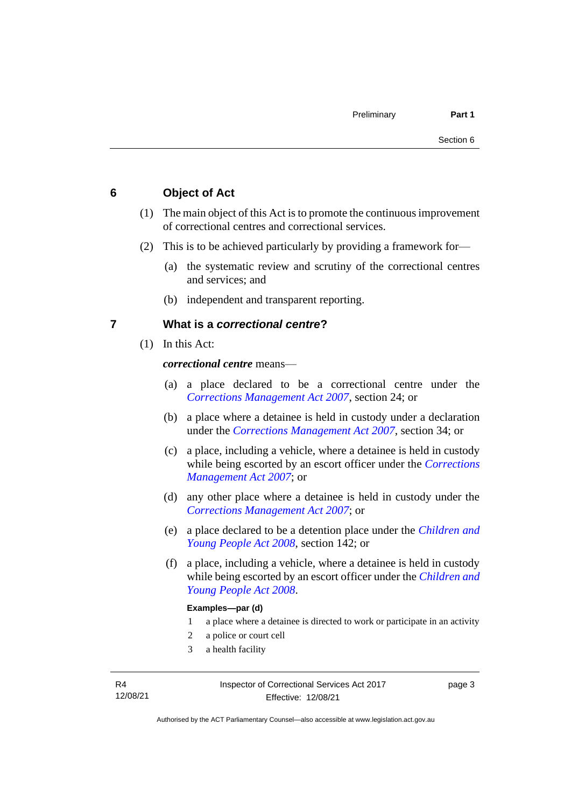# <span id="page-8-0"></span>**6 Object of Act**

- (1) The main object of this Act is to promote the continuous improvement of correctional centres and correctional services.
- (2) This is to be achieved particularly by providing a framework for—
	- (a) the systematic review and scrutiny of the correctional centres and services; and
	- (b) independent and transparent reporting.

### <span id="page-8-1"></span>**7 What is a** *correctional centre***?**

(1) In this Act:

*correctional centre* means—

- (a) a place declared to be a correctional centre under the *[Corrections Management Act 2007](http://www.legislation.act.gov.au/a/2007-15)*, section 24; or
- (b) a place where a detainee is held in custody under a declaration under the *[Corrections Management Act 2007](http://www.legislation.act.gov.au/a/2007-15)*, section 34; or
- (c) a place, including a vehicle, where a detainee is held in custody while being escorted by an escort officer under the *[Corrections](http://www.legislation.act.gov.au/a/2007-15)  [Management Act 2007](http://www.legislation.act.gov.au/a/2007-15)*; or
- (d) any other place where a detainee is held in custody under the *[Corrections Management Act 2007](http://www.legislation.act.gov.au/a/2007-15)*; or
- (e) a place declared to be a detention place under the *[Children and](http://www.legislation.act.gov.au/a/2008-19)  [Young People Act 2008](http://www.legislation.act.gov.au/a/2008-19)*, section 142; or
- (f) a place, including a vehicle, where a detainee is held in custody while being escorted by an escort officer under the *[Children and](http://www.legislation.act.gov.au/a/2008-19)  [Young People Act 2008](http://www.legislation.act.gov.au/a/2008-19)*.

#### **Examples—par (d)**

- 1 a place where a detainee is directed to work or participate in an activity
- 2 a police or court cell
- 3 a health facility

page 3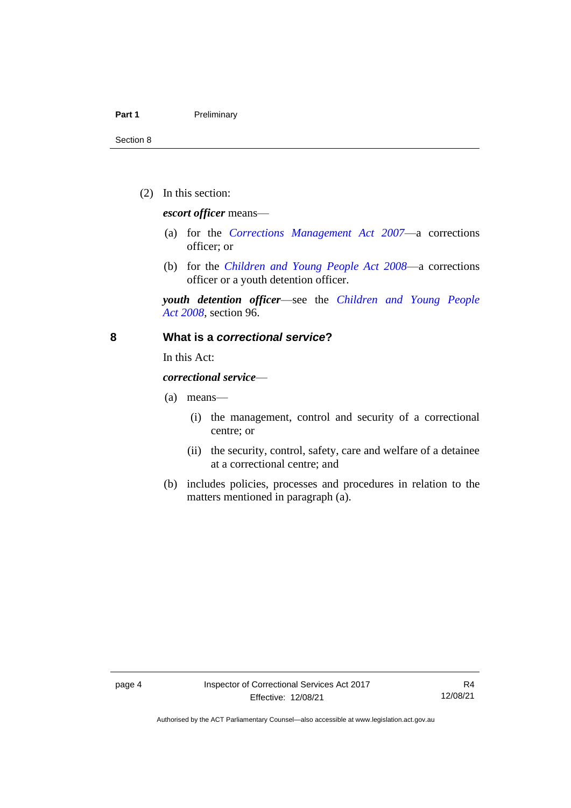#### Part 1 **Preliminary**

Section 8

(2) In this section:

*escort officer* means—

- (a) for the *[Corrections Management Act 2007](http://www.legislation.act.gov.au/a/2007-15)*—a corrections officer; or
- (b) for the *[Children and Young People Act 2008](http://www.legislation.act.gov.au/a/2008-19)*—a corrections officer or a youth detention officer.

*youth detention officer*—see the *[Children and Young People](http://www.legislation.act.gov.au/a/2008-19)  Act [2008](http://www.legislation.act.gov.au/a/2008-19)*, section 96.

#### <span id="page-9-0"></span>**8 What is a** *correctional service***?**

In this Act:

*correctional service*—

- (a) means—
	- (i) the management, control and security of a correctional centre; or
	- (ii) the security, control, safety, care and welfare of a detainee at a correctional centre; and
- (b) includes policies, processes and procedures in relation to the matters mentioned in paragraph (a).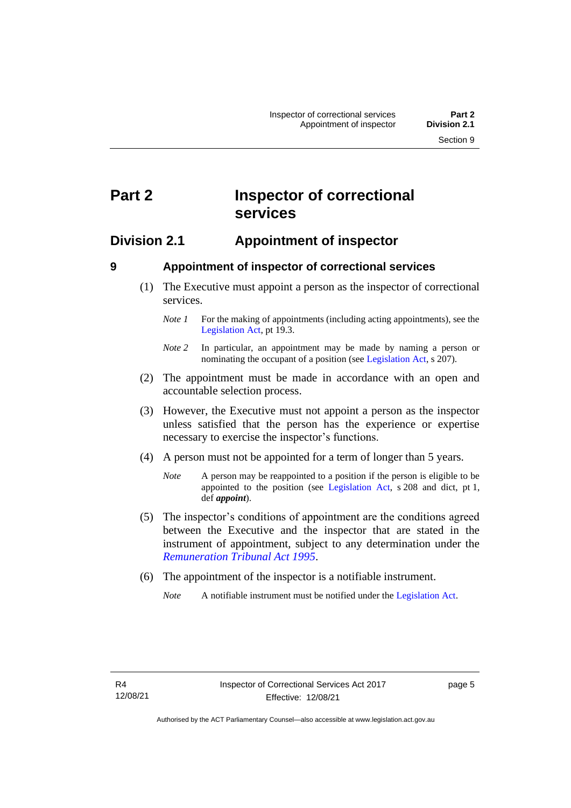# <span id="page-10-0"></span>**Part 2 Inspector of correctional services**

# <span id="page-10-1"></span>**Division 2.1 Appointment of inspector**

<span id="page-10-2"></span>

# **9 Appointment of inspector of correctional services**

(1) The Executive must appoint a person as the inspector of correctional services.

- (2) The appointment must be made in accordance with an open and accountable selection process.
- (3) However, the Executive must not appoint a person as the inspector unless satisfied that the person has the experience or expertise necessary to exercise the inspector's functions.
- (4) A person must not be appointed for a term of longer than 5 years.

- (5) The inspector's conditions of appointment are the conditions agreed between the Executive and the inspector that are stated in the instrument of appointment, subject to any determination under the *[Remuneration Tribunal Act 1995](http://www.legislation.act.gov.au/a/1995-55)*.
- (6) The appointment of the inspector is a notifiable instrument.

*Note 1* For the making of appointments (including acting appointments), see the [Legislation Act,](http://www.legislation.act.gov.au/a/2001-14) pt 19.3.

*Note 2* In particular, an appointment may be made by naming a person or nominating the occupant of a position (see [Legislation Act,](http://www.legislation.act.gov.au/a/2001-14) s 207).

*Note* A person may be reappointed to a position if the person is eligible to be appointed to the position (see [Legislation Act,](http://www.legislation.act.gov.au/a/2001-14) s 208 and dict, pt 1, def *appoint*).

*Note* A notifiable instrument must be notified under the [Legislation Act.](http://www.legislation.act.gov.au/a/2001-14)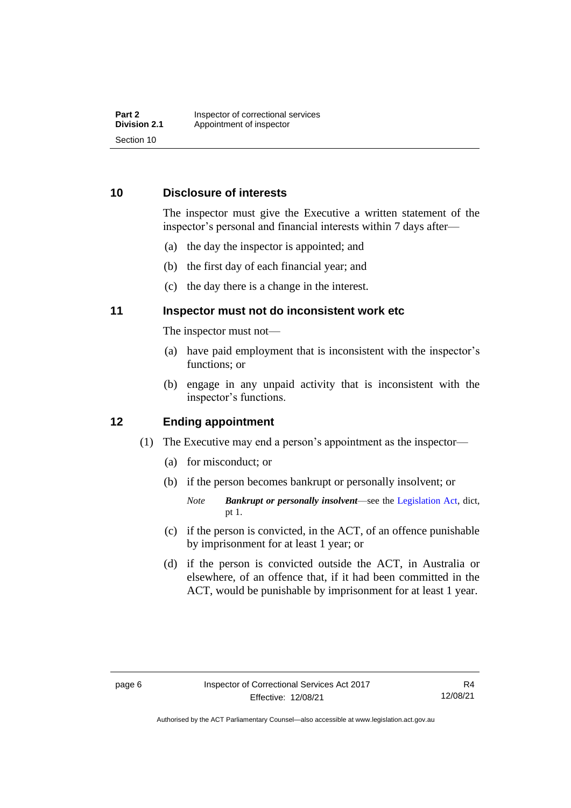# <span id="page-11-0"></span>**10 Disclosure of interests**

The inspector must give the Executive a written statement of the inspector's personal and financial interests within 7 days after—

- (a) the day the inspector is appointed; and
- (b) the first day of each financial year; and
- (c) the day there is a change in the interest.

# <span id="page-11-1"></span>**11 Inspector must not do inconsistent work etc**

The inspector must not—

- (a) have paid employment that is inconsistent with the inspector's functions; or
- (b) engage in any unpaid activity that is inconsistent with the inspector's functions.

## <span id="page-11-2"></span>**12 Ending appointment**

- (1) The Executive may end a person's appointment as the inspector—
	- (a) for misconduct; or
	- (b) if the person becomes bankrupt or personally insolvent; or
		- *Note Bankrupt or personally insolvent*—see the [Legislation Act,](http://www.legislation.act.gov.au/a/2001-14) dict, pt 1.
	- (c) if the person is convicted, in the ACT, of an offence punishable by imprisonment for at least 1 year; or
	- (d) if the person is convicted outside the ACT, in Australia or elsewhere, of an offence that, if it had been committed in the ACT, would be punishable by imprisonment for at least 1 year.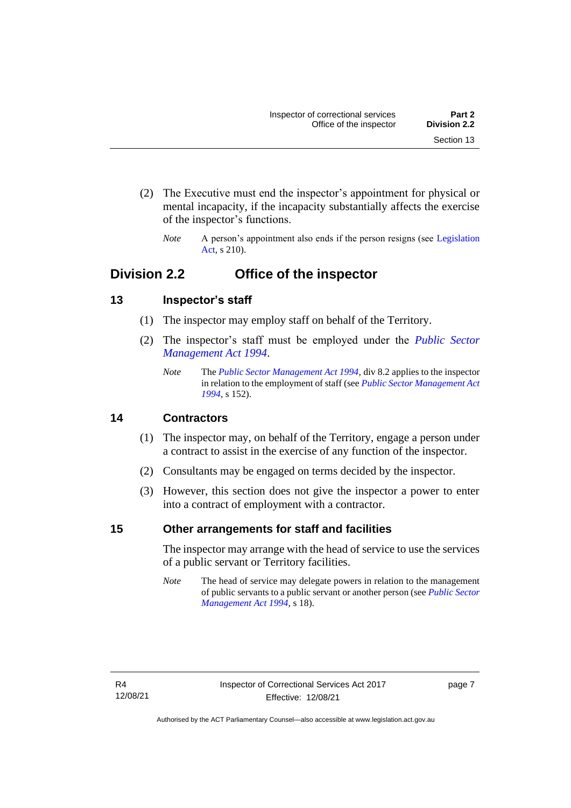- (2) The Executive must end the inspector's appointment for physical or mental incapacity, if the incapacity substantially affects the exercise of the inspector's functions.
	- *Note* A person's appointment also ends if the person resigns (see Legislation [Act,](http://www.legislation.act.gov.au/a/2001-14) s 210).

# <span id="page-12-0"></span>**Division 2.2 Office of the inspector**

# <span id="page-12-1"></span>**13 Inspector's staff**

- (1) The inspector may employ staff on behalf of the Territory.
- (2) The inspector's staff must be employed under the *[Public Sector](http://www.legislation.act.gov.au/a/1994-37)  [Management Act 1994](http://www.legislation.act.gov.au/a/1994-37)*.
	- *Note* The *[Public Sector Management Act 1994](http://www.legislation.act.gov.au/a/1994-37)*, div 8.2 applies to the inspector in relation to the employment of staff (see *[Public Sector Management Act](http://www.legislation.act.gov.au/a/1994-37)  [1994](http://www.legislation.act.gov.au/a/1994-37)*, s 152).

# <span id="page-12-2"></span>**14 Contractors**

- (1) The inspector may, on behalf of the Territory, engage a person under a contract to assist in the exercise of any function of the inspector.
- (2) Consultants may be engaged on terms decided by the inspector.
- (3) However, this section does not give the inspector a power to enter into a contract of employment with a contractor.

# <span id="page-12-3"></span>**15 Other arrangements for staff and facilities**

The inspector may arrange with the head of service to use the services of a public servant or Territory facilities.

*Note* The head of service may delegate powers in relation to the management of public servants to a public servant or another person (see *[Public Sector](http://www.legislation.act.gov.au/a/1994-37)  [Management Act 1994](http://www.legislation.act.gov.au/a/1994-37)*, s 18).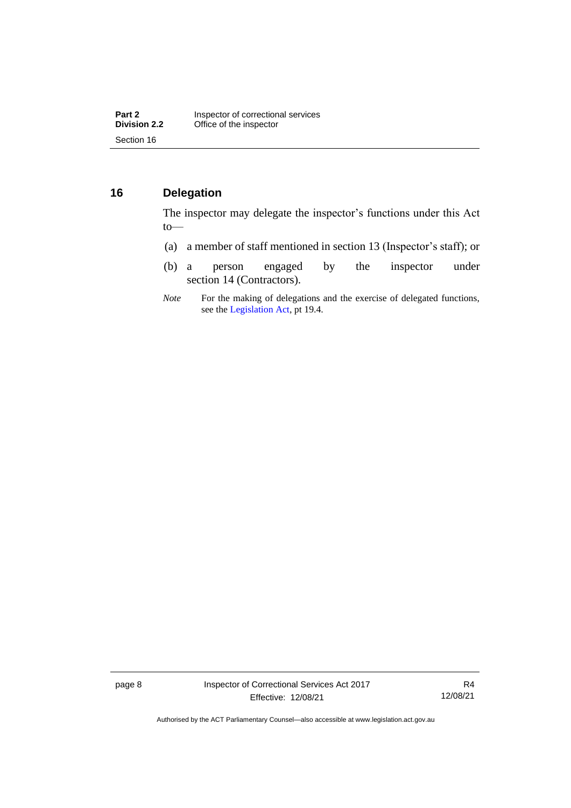# <span id="page-13-0"></span>**16 Delegation**

The inspector may delegate the inspector's functions under this Act to—

- (a) a member of staff mentioned in section 13 (Inspector's staff); or
- (b) a person engaged by the inspector under section 14 (Contractors).
- *Note* For the making of delegations and the exercise of delegated functions, see the [Legislation Act,](http://www.legislation.act.gov.au/a/2001-14) pt 19.4.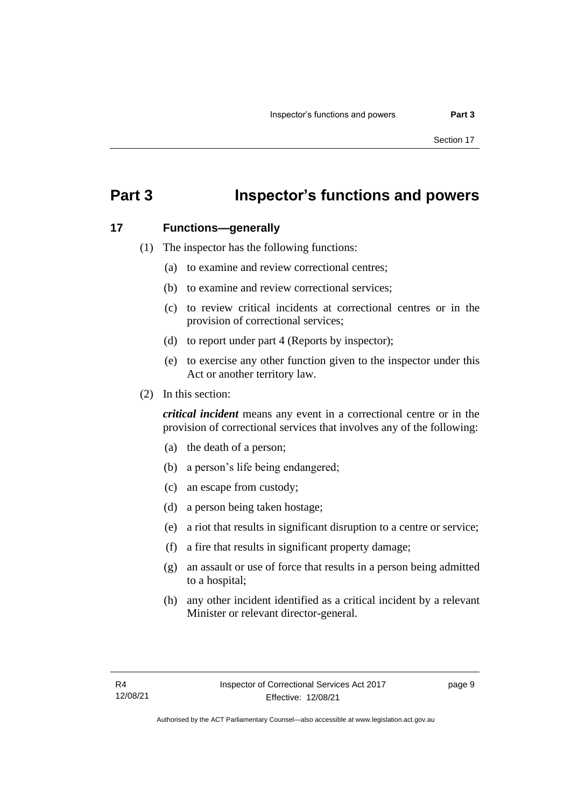# <span id="page-14-0"></span>**Part 3 Inspector's functions and powers**

#### <span id="page-14-1"></span>**17 Functions—generally**

- (1) The inspector has the following functions:
	- (a) to examine and review correctional centres;
	- (b) to examine and review correctional services;
	- (c) to review critical incidents at correctional centres or in the provision of correctional services;
	- (d) to report under part 4 (Reports by inspector);
	- (e) to exercise any other function given to the inspector under this Act or another territory law.
- (2) In this section:

*critical incident* means any event in a correctional centre or in the provision of correctional services that involves any of the following:

- (a) the death of a person;
- (b) a person's life being endangered;
- (c) an escape from custody;
- (d) a person being taken hostage;
- (e) a riot that results in significant disruption to a centre or service;
- (f) a fire that results in significant property damage;
- (g) an assault or use of force that results in a person being admitted to a hospital;
- (h) any other incident identified as a critical incident by a relevant Minister or relevant director-general.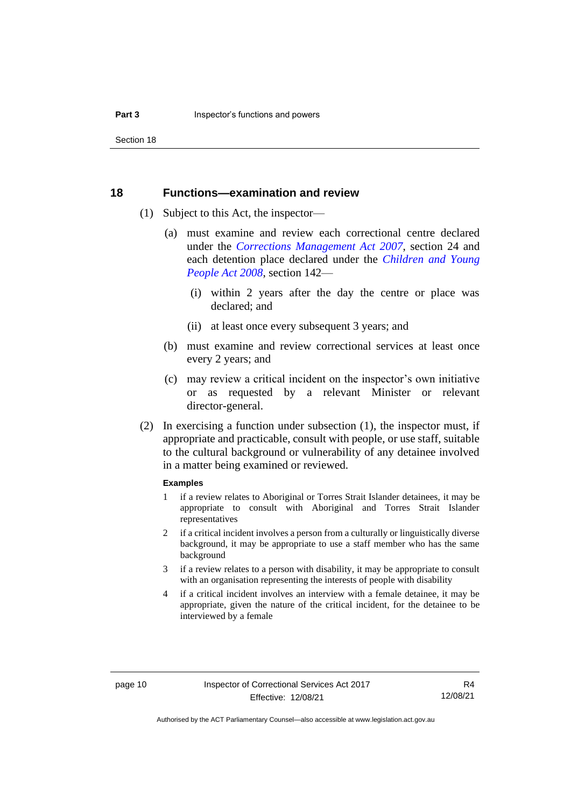Section 18

#### <span id="page-15-0"></span>**18 Functions—examination and review**

- (1) Subject to this Act, the inspector—
	- (a) must examine and review each correctional centre declared under the *[Corrections Management Act 2007](http://www.legislation.act.gov.au/a/2007-15)*, section 24 and each detention place declared under the *[Children and Young](http://www.legislation.act.gov.au/a/2008-19)  [People Act 2008](http://www.legislation.act.gov.au/a/2008-19)*, section 142—
		- (i) within 2 years after the day the centre or place was declared; and
		- (ii) at least once every subsequent 3 years; and
	- (b) must examine and review correctional services at least once every 2 years; and
	- (c) may review a critical incident on the inspector's own initiative or as requested by a relevant Minister or relevant director-general.
- (2) In exercising a function under subsection (1), the inspector must, if appropriate and practicable, consult with people, or use staff, suitable to the cultural background or vulnerability of any detainee involved in a matter being examined or reviewed.

#### **Examples**

- 1 if a review relates to Aboriginal or Torres Strait Islander detainees, it may be appropriate to consult with Aboriginal and Torres Strait Islander representatives
- 2 if a critical incident involves a person from a culturally or linguistically diverse background, it may be appropriate to use a staff member who has the same background
- 3 if a review relates to a person with disability, it may be appropriate to consult with an organisation representing the interests of people with disability
- 4 if a critical incident involves an interview with a female detainee, it may be appropriate, given the nature of the critical incident, for the detainee to be interviewed by a female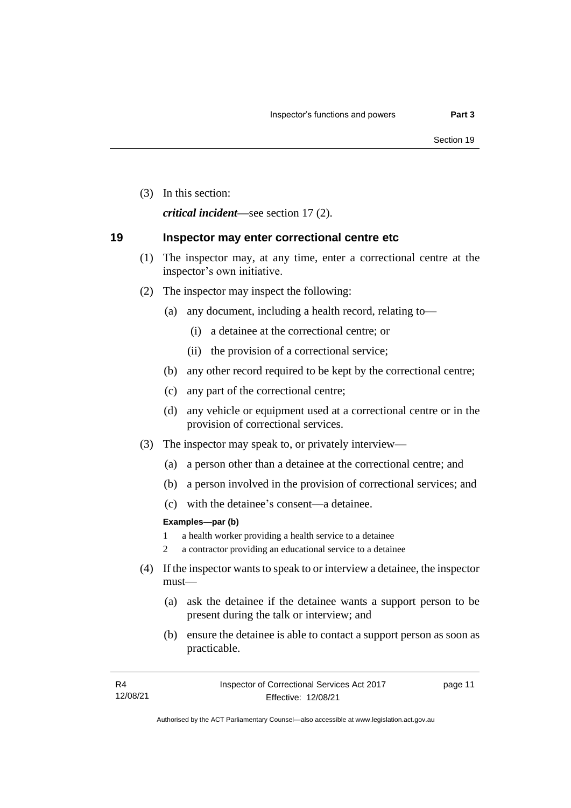(3) In this section:

*critical incident—*see section 17 (2).

### <span id="page-16-0"></span>**19 Inspector may enter correctional centre etc**

- (1) The inspector may, at any time, enter a correctional centre at the inspector's own initiative.
- (2) The inspector may inspect the following:
	- (a) any document, including a health record, relating to—
		- (i) a detainee at the correctional centre; or
		- (ii) the provision of a correctional service;
	- (b) any other record required to be kept by the correctional centre;
	- (c) any part of the correctional centre;
	- (d) any vehicle or equipment used at a correctional centre or in the provision of correctional services.
- (3) The inspector may speak to, or privately interview—
	- (a) a person other than a detainee at the correctional centre; and
	- (b) a person involved in the provision of correctional services; and
	- (c) with the detainee's consent—a detainee.

#### **Examples—par (b)**

- 1 a health worker providing a health service to a detainee
- 2 a contractor providing an educational service to a detainee
- (4) If the inspector wants to speak to or interview a detainee, the inspector must—
	- (a) ask the detainee if the detainee wants a support person to be present during the talk or interview; and
	- (b) ensure the detainee is able to contact a support person as soon as practicable.

page 11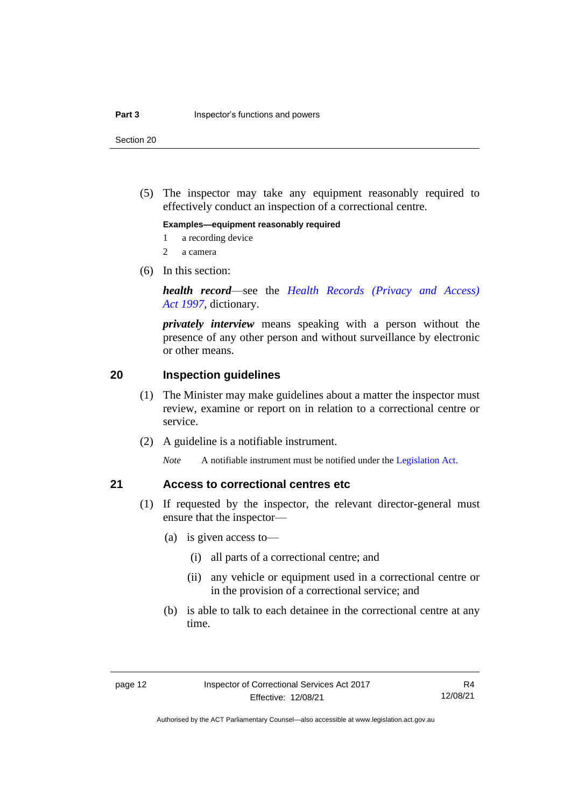Section 20

(5) The inspector may take any equipment reasonably required to effectively conduct an inspection of a correctional centre.

#### **Examples—equipment reasonably required**

- 1 a recording device
- 2 a camera
- (6) In this section:

*health record*—see the *[Health Records \(Privacy and Access\)](http://www.legislation.act.gov.au/a/1997-125)  Act [1997](http://www.legislation.act.gov.au/a/1997-125)*, dictionary.

*privately interview* means speaking with a person without the presence of any other person and without surveillance by electronic or other means.

### <span id="page-17-0"></span>**20 Inspection guidelines**

- (1) The Minister may make guidelines about a matter the inspector must review, examine or report on in relation to a correctional centre or service.
- (2) A guideline is a notifiable instrument.

*Note* A notifiable instrument must be notified under the [Legislation Act.](http://www.legislation.act.gov.au/a/2001-14)

#### <span id="page-17-1"></span>**21 Access to correctional centres etc**

- (1) If requested by the inspector, the relevant director-general must ensure that the inspector—
	- (a) is given access to—
		- (i) all parts of a correctional centre; and
		- (ii) any vehicle or equipment used in a correctional centre or in the provision of a correctional service; and
	- (b) is able to talk to each detainee in the correctional centre at any time.

R4 12/08/21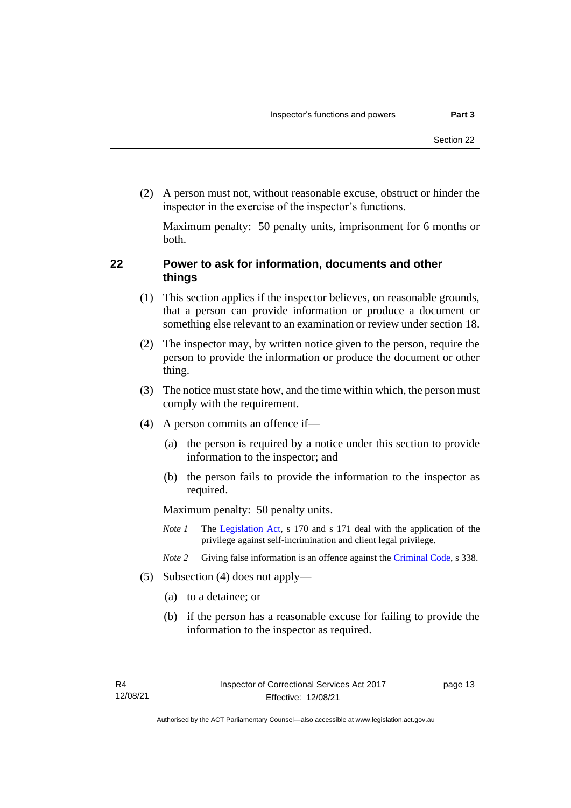(2) A person must not, without reasonable excuse, obstruct or hinder the inspector in the exercise of the inspector's functions.

Maximum penalty: 50 penalty units, imprisonment for 6 months or both.

# <span id="page-18-0"></span>**22 Power to ask for information, documents and other things**

- (1) This section applies if the inspector believes, on reasonable grounds, that a person can provide information or produce a document or something else relevant to an examination or review under section 18.
- (2) The inspector may, by written notice given to the person, require the person to provide the information or produce the document or other thing.
- (3) The notice must state how, and the time within which, the person must comply with the requirement.
- (4) A person commits an offence if—
	- (a) the person is required by a notice under this section to provide information to the inspector; and
	- (b) the person fails to provide the information to the inspector as required.

Maximum penalty: 50 penalty units.

- *Note 1* The [Legislation Act,](http://www.legislation.act.gov.au/a/2001-14) s 170 and s 171 deal with the application of the privilege against self-incrimination and client legal privilege.
- *Note 2* Giving false information is an offence against the [Criminal Code,](http://www.legislation.act.gov.au/a/2002-51) s 338.
- (5) Subsection (4) does not apply—
	- (a) to a detainee; or
	- (b) if the person has a reasonable excuse for failing to provide the information to the inspector as required.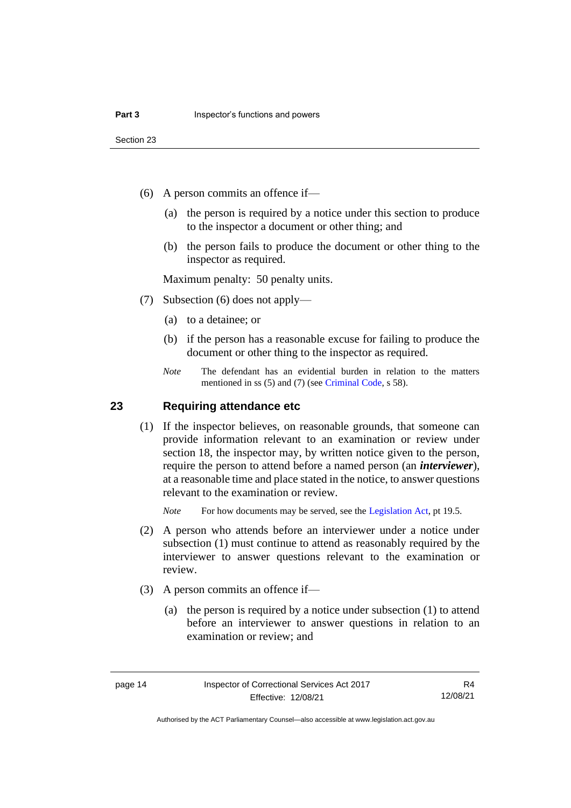- (6) A person commits an offence if—
	- (a) the person is required by a notice under this section to produce to the inspector a document or other thing; and
	- (b) the person fails to produce the document or other thing to the inspector as required.

Maximum penalty: 50 penalty units.

- (7) Subsection (6) does not apply—
	- (a) to a detainee; or
	- (b) if the person has a reasonable excuse for failing to produce the document or other thing to the inspector as required.
	- *Note* The defendant has an evidential burden in relation to the matters mentioned in ss (5) and (7) (see [Criminal Code,](http://www.legislation.act.gov.au/a/2002-51) s 58).

### <span id="page-19-0"></span>**23 Requiring attendance etc**

(1) If the inspector believes, on reasonable grounds, that someone can provide information relevant to an examination or review under section 18, the inspector may, by written notice given to the person, require the person to attend before a named person (an *interviewer*), at a reasonable time and place stated in the notice, to answer questions relevant to the examination or review.

*Note* For how documents may be served, see th[e Legislation Act,](http://www.legislation.act.gov.au/a/2001-14) pt 19.5.

- (2) A person who attends before an interviewer under a notice under subsection (1) must continue to attend as reasonably required by the interviewer to answer questions relevant to the examination or review.
- (3) A person commits an offence if—
	- (a) the person is required by a notice under subsection (1) to attend before an interviewer to answer questions in relation to an examination or review; and

R4 12/08/21

Authorised by the ACT Parliamentary Counsel—also accessible at www.legislation.act.gov.au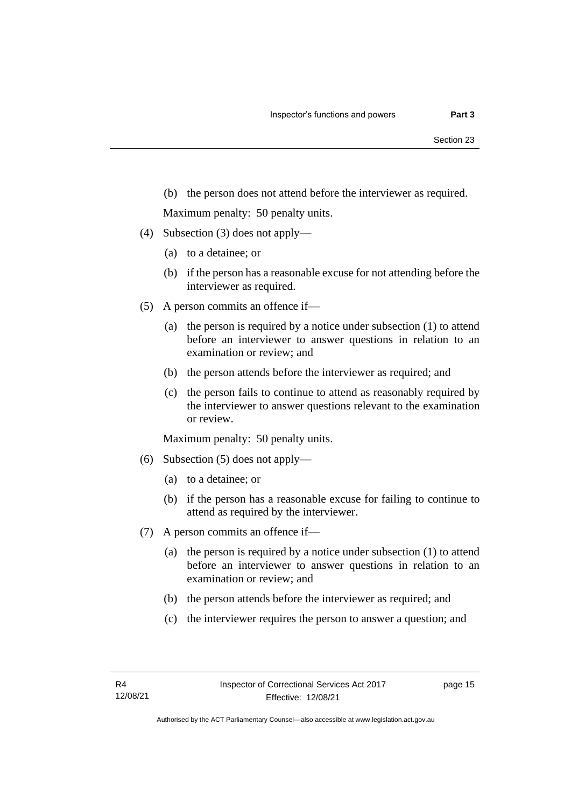(b) the person does not attend before the interviewer as required.

Maximum penalty: 50 penalty units.

- (4) Subsection (3) does not apply—
	- (a) to a detainee; or
	- (b) if the person has a reasonable excuse for not attending before the interviewer as required.
- (5) A person commits an offence if—
	- (a) the person is required by a notice under subsection (1) to attend before an interviewer to answer questions in relation to an examination or review; and
	- (b) the person attends before the interviewer as required; and
	- (c) the person fails to continue to attend as reasonably required by the interviewer to answer questions relevant to the examination or review.

Maximum penalty: 50 penalty units.

- (6) Subsection (5) does not apply—
	- (a) to a detainee; or
	- (b) if the person has a reasonable excuse for failing to continue to attend as required by the interviewer.
- (7) A person commits an offence if—
	- (a) the person is required by a notice under subsection (1) to attend before an interviewer to answer questions in relation to an examination or review; and
	- (b) the person attends before the interviewer as required; and
	- (c) the interviewer requires the person to answer a question; and

page 15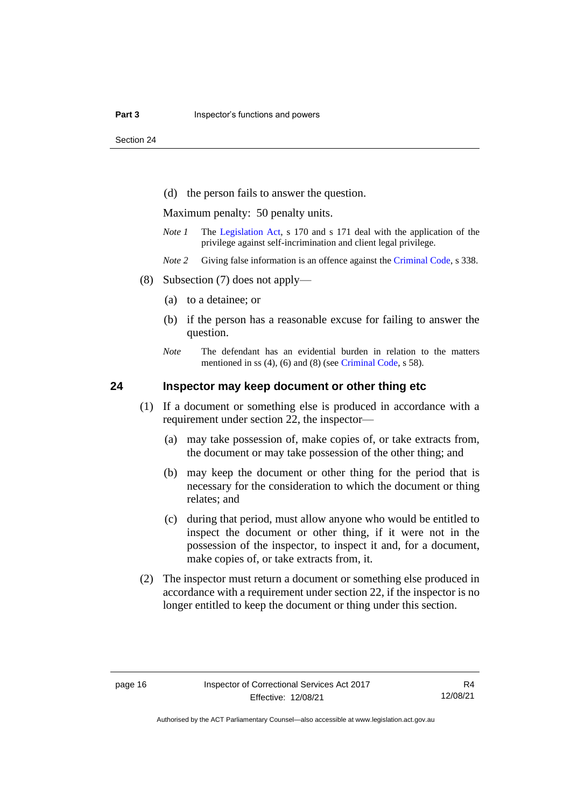Section 24

(d) the person fails to answer the question.

Maximum penalty: 50 penalty units.

- *Note 1* The [Legislation Act,](http://www.legislation.act.gov.au/a/2001-14) s 170 and s 171 deal with the application of the privilege against self-incrimination and client legal privilege.
- *Note 2* Giving false information is an offence against th[e Criminal Code,](http://www.legislation.act.gov.au/a/2002-51) s 338.
- (8) Subsection (7) does not apply—
	- (a) to a detainee; or
	- (b) if the person has a reasonable excuse for failing to answer the question.
	- *Note* The defendant has an evidential burden in relation to the matters mentioned in ss (4), (6) and (8) (see [Criminal Code,](http://www.legislation.act.gov.au/a/2002-51) s 58).

### <span id="page-21-0"></span>**24 Inspector may keep document or other thing etc**

- (1) If a document or something else is produced in accordance with a requirement under section 22, the inspector—
	- (a) may take possession of, make copies of, or take extracts from, the document or may take possession of the other thing; and
	- (b) may keep the document or other thing for the period that is necessary for the consideration to which the document or thing relates; and
	- (c) during that period, must allow anyone who would be entitled to inspect the document or other thing, if it were not in the possession of the inspector, to inspect it and, for a document, make copies of, or take extracts from, it.
- (2) The inspector must return a document or something else produced in accordance with a requirement under section 22, if the inspector is no longer entitled to keep the document or thing under this section.

R4 12/08/21

Authorised by the ACT Parliamentary Counsel—also accessible at www.legislation.act.gov.au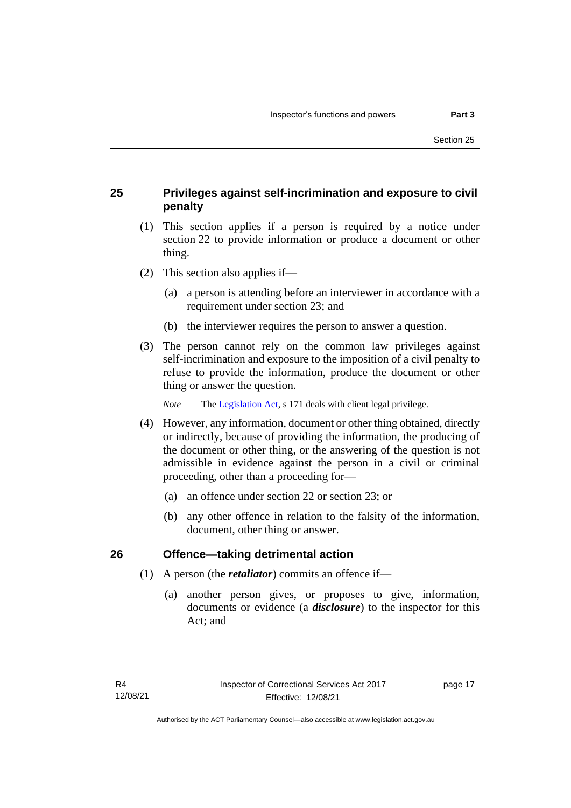# <span id="page-22-0"></span>**25 Privileges against self-incrimination and exposure to civil penalty**

- (1) This section applies if a person is required by a notice under section 22 to provide information or produce a document or other thing.
- (2) This section also applies if—
	- (a) a person is attending before an interviewer in accordance with a requirement under section 23; and
	- (b) the interviewer requires the person to answer a question.
- (3) The person cannot rely on the common law privileges against self-incrimination and exposure to the imposition of a civil penalty to refuse to provide the information, produce the document or other thing or answer the question.

*Note* The [Legislation Act,](http://www.legislation.act.gov.au/a/2001-14) s 171 deals with client legal privilege.

- (4) However, any information, document or other thing obtained, directly or indirectly, because of providing the information, the producing of the document or other thing, or the answering of the question is not admissible in evidence against the person in a civil or criminal proceeding, other than a proceeding for—
	- (a) an offence under section 22 or section 23; or
	- (b) any other offence in relation to the falsity of the information, document, other thing or answer.

### <span id="page-22-1"></span>**26 Offence—taking detrimental action**

- (1) A person (the *retaliator*) commits an offence if—
	- (a) another person gives, or proposes to give, information, documents or evidence (a *disclosure*) to the inspector for this Act; and

page 17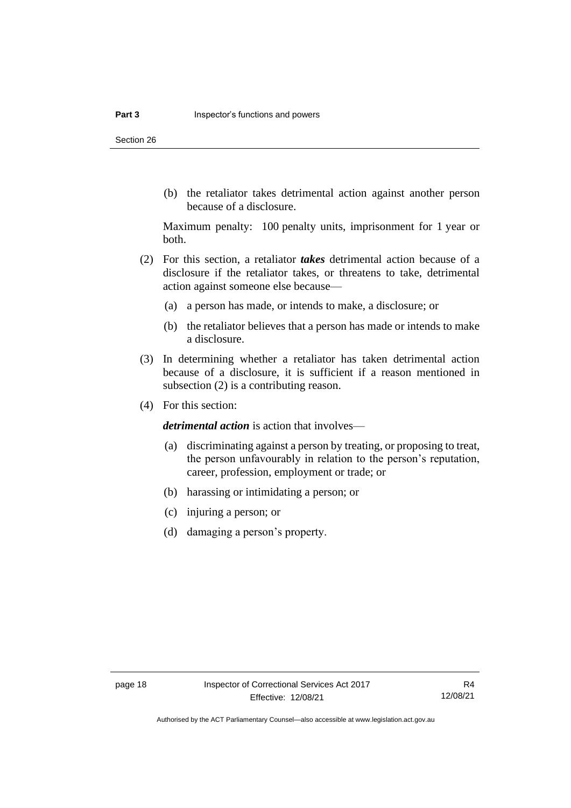Section 26

(b) the retaliator takes detrimental action against another person because of a disclosure.

Maximum penalty: 100 penalty units, imprisonment for 1 year or both.

- (2) For this section, a retaliator *takes* detrimental action because of a disclosure if the retaliator takes, or threatens to take, detrimental action against someone else because—
	- (a) a person has made, or intends to make, a disclosure; or
	- (b) the retaliator believes that a person has made or intends to make a disclosure.
- (3) In determining whether a retaliator has taken detrimental action because of a disclosure, it is sufficient if a reason mentioned in subsection (2) is a contributing reason.
- (4) For this section:

*detrimental action* is action that involves—

- (a) discriminating against a person by treating, or proposing to treat, the person unfavourably in relation to the person's reputation, career, profession, employment or trade; or
- (b) harassing or intimidating a person; or
- (c) injuring a person; or
- (d) damaging a person's property.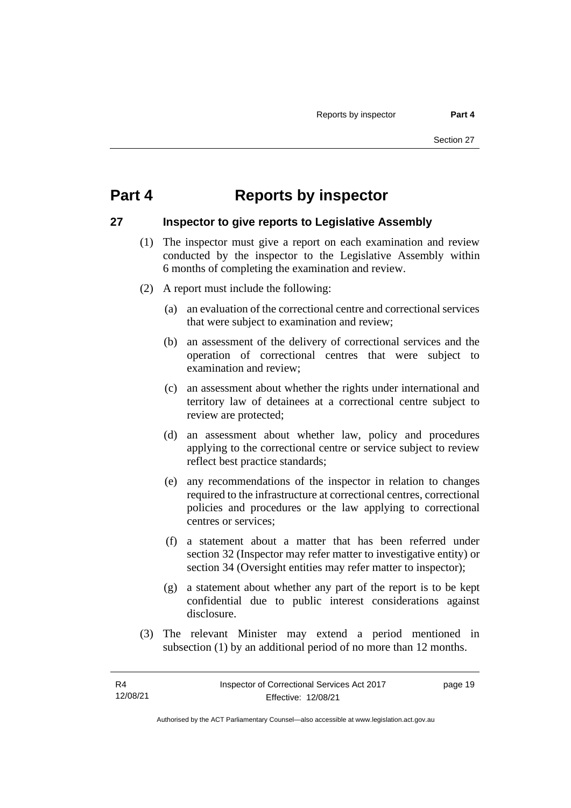# <span id="page-24-0"></span>**Part 4 Reports by inspector**

## <span id="page-24-1"></span>**27 Inspector to give reports to Legislative Assembly**

- (1) The inspector must give a report on each examination and review conducted by the inspector to the Legislative Assembly within 6 months of completing the examination and review.
- (2) A report must include the following:
	- (a) an evaluation of the correctional centre and correctional services that were subject to examination and review;
	- (b) an assessment of the delivery of correctional services and the operation of correctional centres that were subject to examination and review;
	- (c) an assessment about whether the rights under international and territory law of detainees at a correctional centre subject to review are protected;
	- (d) an assessment about whether law, policy and procedures applying to the correctional centre or service subject to review reflect best practice standards;
	- (e) any recommendations of the inspector in relation to changes required to the infrastructure at correctional centres, correctional policies and procedures or the law applying to correctional centres or services;
	- (f) a statement about a matter that has been referred under section 32 (Inspector may refer matter to investigative entity) or section 34 (Oversight entities may refer matter to inspector);
	- (g) a statement about whether any part of the report is to be kept confidential due to public interest considerations against disclosure.
- (3) The relevant Minister may extend a period mentioned in subsection (1) by an additional period of no more than 12 months.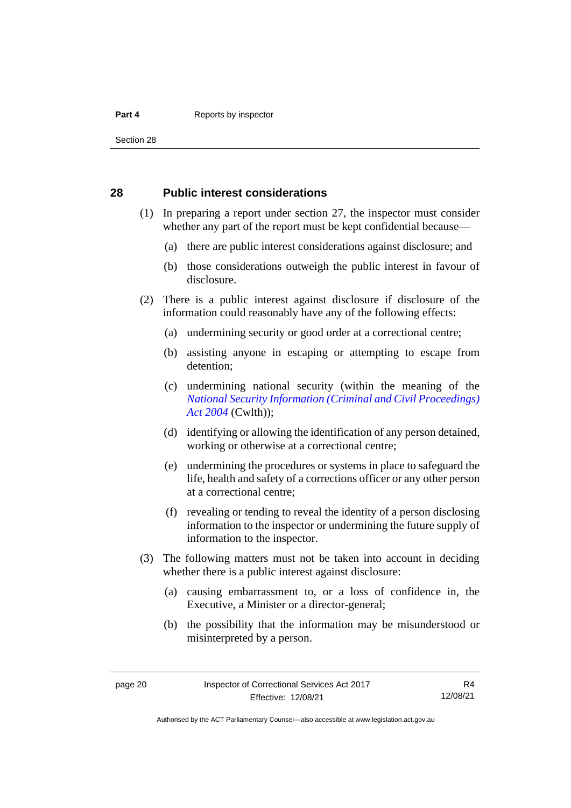#### **Part 4 Reports by inspector**

Section 28

### <span id="page-25-0"></span>**28 Public interest considerations**

- (1) In preparing a report under section 27, the inspector must consider whether any part of the report must be kept confidential because—
	- (a) there are public interest considerations against disclosure; and
	- (b) those considerations outweigh the public interest in favour of disclosure.
- (2) There is a public interest against disclosure if disclosure of the information could reasonably have any of the following effects:
	- (a) undermining security or good order at a correctional centre;
	- (b) assisting anyone in escaping or attempting to escape from detention;
	- (c) undermining national security (within the meaning of the *[National Security Information \(Criminal](https://www.legislation.gov.au/Series/C2004A01385) and Civil Proceedings) [Act 2004](https://www.legislation.gov.au/Series/C2004A01385)* (Cwlth));
	- (d) identifying or allowing the identification of any person detained, working or otherwise at a correctional centre;
	- (e) undermining the procedures or systems in place to safeguard the life, health and safety of a corrections officer or any other person at a correctional centre;
	- (f) revealing or tending to reveal the identity of a person disclosing information to the inspector or undermining the future supply of information to the inspector.
- (3) The following matters must not be taken into account in deciding whether there is a public interest against disclosure:
	- (a) causing embarrassment to, or a loss of confidence in, the Executive, a Minister or a director-general;
	- (b) the possibility that the information may be misunderstood or misinterpreted by a person.

Authorised by the ACT Parliamentary Counsel—also accessible at www.legislation.act.gov.au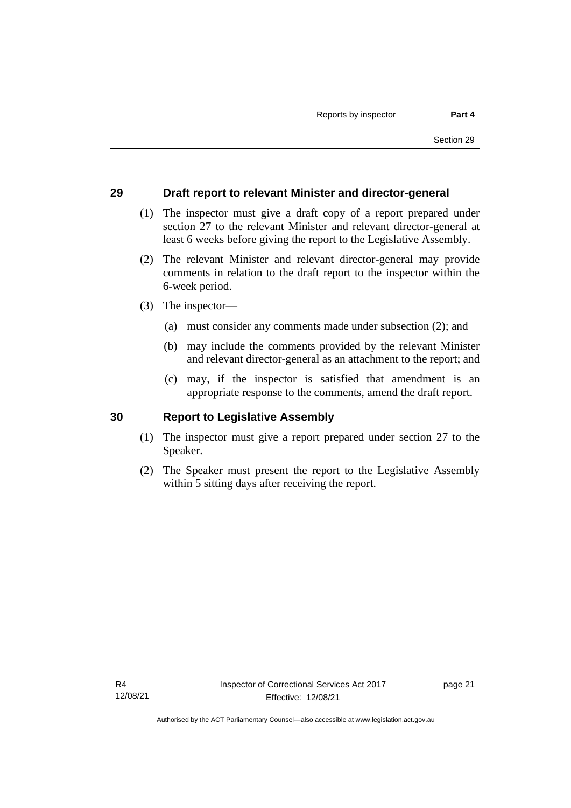### <span id="page-26-0"></span>**29 Draft report to relevant Minister and director-general**

- (1) The inspector must give a draft copy of a report prepared under section 27 to the relevant Minister and relevant director-general at least 6 weeks before giving the report to the Legislative Assembly.
- (2) The relevant Minister and relevant director-general may provide comments in relation to the draft report to the inspector within the 6-week period.
- (3) The inspector—
	- (a) must consider any comments made under subsection (2); and
	- (b) may include the comments provided by the relevant Minister and relevant director-general as an attachment to the report; and
	- (c) may, if the inspector is satisfied that amendment is an appropriate response to the comments, amend the draft report.

#### <span id="page-26-1"></span>**30 Report to Legislative Assembly**

- (1) The inspector must give a report prepared under section 27 to the Speaker.
- (2) The Speaker must present the report to the Legislative Assembly within 5 sitting days after receiving the report.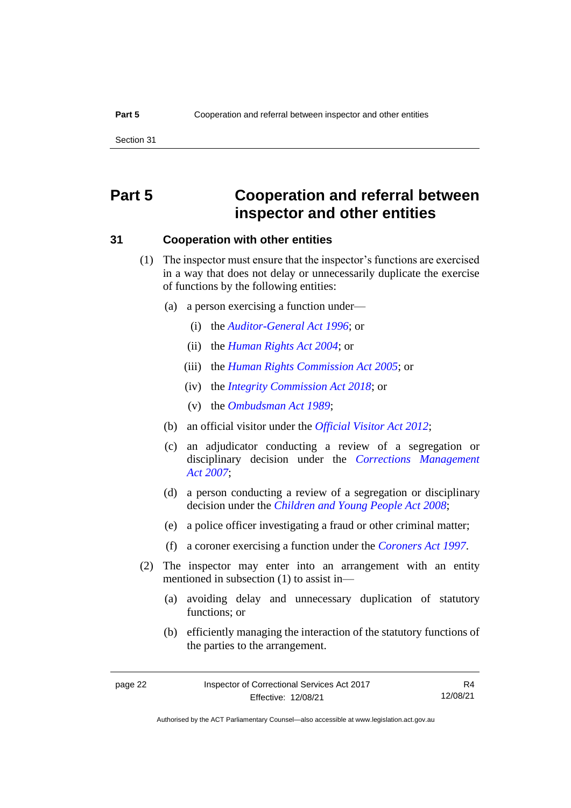# <span id="page-27-0"></span>**Part 5 Cooperation and referral between inspector and other entities**

### <span id="page-27-1"></span>**31 Cooperation with other entities**

- (1) The inspector must ensure that the inspector's functions are exercised in a way that does not delay or unnecessarily duplicate the exercise of functions by the following entities:
	- (a) a person exercising a function under—
		- (i) the *[Auditor-General Act](http://www.legislation.act.gov.au/a/1996-23) 1996*; or
		- (ii) the *[Human Rights Act](http://www.legislation.act.gov.au/a/2004-5) 2004*; or
		- (iii) the *[Human Rights Commission Act](http://www.legislation.act.gov.au/a/2005-40) 2005*; or
		- (iv) the *[Integrity Commission Act 2018](http://www.legislation.act.gov.au/a/2018-52)*; or
		- (v) the *[Ombudsman Act](http://www.legislation.act.gov.au/a/alt_a1989-45co) 1989*;
	- (b) an official visitor under the *[Official Visitor Act 2012](http://www.legislation.act.gov.au/a/2012-33)*;
	- (c) an adjudicator conducting a review of a segregation or disciplinary decision under the *[Corrections Management](http://www.legislation.act.gov.au/a/2007-15)  Act [2007](http://www.legislation.act.gov.au/a/2007-15)*;
	- (d) a person conducting a review of a segregation or disciplinary decision under the *[Children and Young People Act 2008](http://www.legislation.act.gov.au/a/2008-19)*;
	- (e) a police officer investigating a fraud or other criminal matter;
	- (f) a coroner exercising a function under the *[Coroners Act](http://www.legislation.act.gov.au/a/1997-57) 1997*.
- (2) The inspector may enter into an arrangement with an entity mentioned in subsection (1) to assist in—
	- (a) avoiding delay and unnecessary duplication of statutory functions; or
	- (b) efficiently managing the interaction of the statutory functions of the parties to the arrangement.

R4 12/08/21

Authorised by the ACT Parliamentary Counsel—also accessible at www.legislation.act.gov.au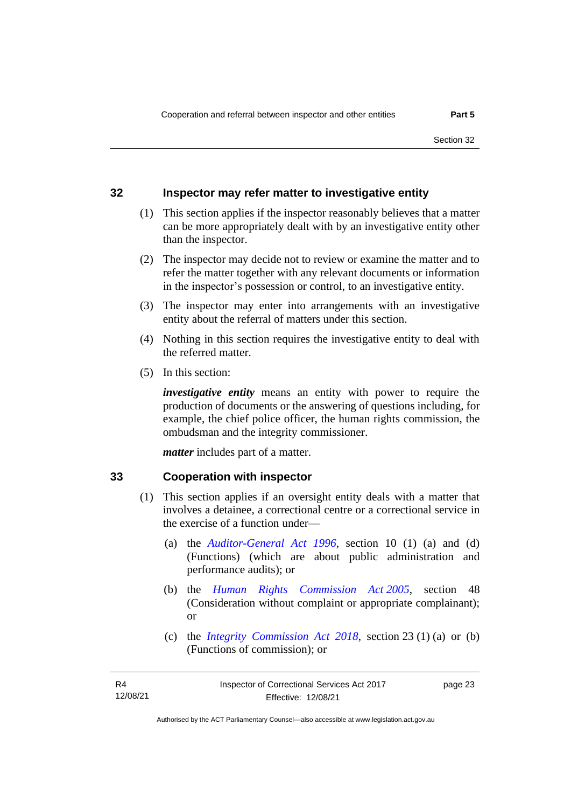## <span id="page-28-0"></span>**32 Inspector may refer matter to investigative entity**

- (1) This section applies if the inspector reasonably believes that a matter can be more appropriately dealt with by an investigative entity other than the inspector.
- (2) The inspector may decide not to review or examine the matter and to refer the matter together with any relevant documents or information in the inspector's possession or control, to an investigative entity.
- (3) The inspector may enter into arrangements with an investigative entity about the referral of matters under this section.
- (4) Nothing in this section requires the investigative entity to deal with the referred matter.
- (5) In this section:

*investigative entity* means an entity with power to require the production of documents or the answering of questions including, for example, the chief police officer, the human rights commission, the ombudsman and the integrity commissioner.

*matter* includes part of a matter.

#### <span id="page-28-1"></span>**33 Cooperation with inspector**

- (1) This section applies if an oversight entity deals with a matter that involves a detainee, a correctional centre or a correctional service in the exercise of a function under—
	- (a) the *[Auditor-General Act 1996](http://www.legislation.act.gov.au/a/1996-23)*, section 10 (1) (a) and (d) (Functions) (which are about public administration and performance audits); or
	- (b) the *[Human Rights Commission Act](http://www.legislation.act.gov.au/a/2005-40) 2005*, section 48 (Consideration without complaint or appropriate complainant); or
	- (c) the *[Integrity Commission Act 2018](http://www.legislation.act.gov.au/a/2018-52)*, section 23 (1) (a) or (b) (Functions of commission); or

page 23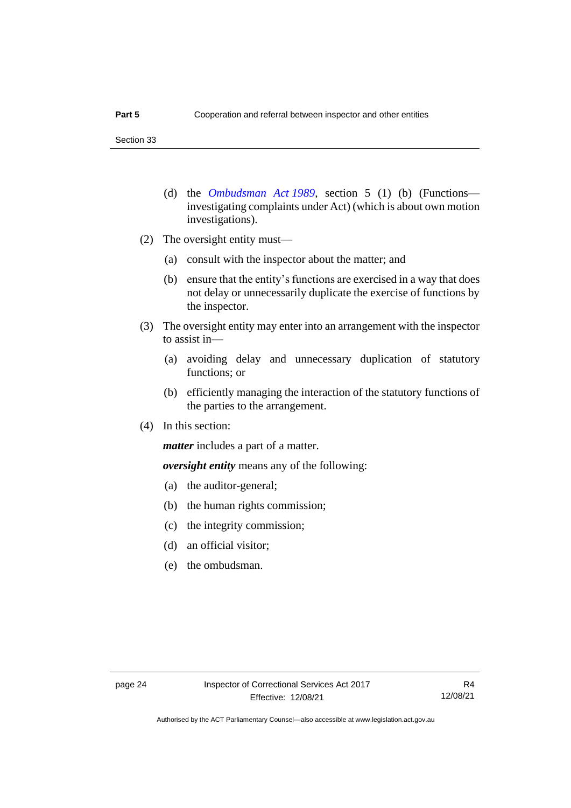- (d) the *[Ombudsman Act](http://www.legislation.act.gov.au/a/alt_a1989-45co) 1989*, section 5 (1) (b) (Functions investigating complaints under Act) (which is about own motion investigations).
- (2) The oversight entity must—
	- (a) consult with the inspector about the matter; and
	- (b) ensure that the entity's functions are exercised in a way that does not delay or unnecessarily duplicate the exercise of functions by the inspector.
- (3) The oversight entity may enter into an arrangement with the inspector to assist in—
	- (a) avoiding delay and unnecessary duplication of statutory functions; or
	- (b) efficiently managing the interaction of the statutory functions of the parties to the arrangement.
- (4) In this section:

*matter* includes a part of a matter.

*oversight entity* means any of the following:

- (a) the auditor-general;
- (b) the human rights commission;
- (c) the integrity commission;
- (d) an official visitor;
- (e) the ombudsman.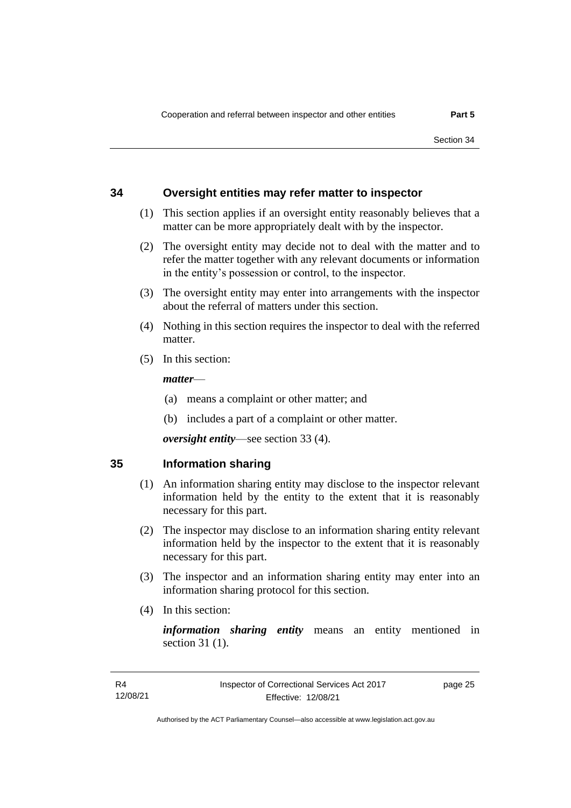### <span id="page-30-0"></span>**34 Oversight entities may refer matter to inspector**

- (1) This section applies if an oversight entity reasonably believes that a matter can be more appropriately dealt with by the inspector.
- (2) The oversight entity may decide not to deal with the matter and to refer the matter together with any relevant documents or information in the entity's possession or control, to the inspector.
- (3) The oversight entity may enter into arrangements with the inspector about the referral of matters under this section.
- (4) Nothing in this section requires the inspector to deal with the referred matter.
- (5) In this section:

#### *matter*—

- (a) means a complaint or other matter; and
- (b) includes a part of a complaint or other matter.

*oversight entity*—see section 33 (4).

#### <span id="page-30-1"></span>**35 Information sharing**

- (1) An information sharing entity may disclose to the inspector relevant information held by the entity to the extent that it is reasonably necessary for this part.
- (2) The inspector may disclose to an information sharing entity relevant information held by the inspector to the extent that it is reasonably necessary for this part.
- (3) The inspector and an information sharing entity may enter into an information sharing protocol for this section.
- (4) In this section:

*information sharing entity* means an entity mentioned in section 31 (1).

page 25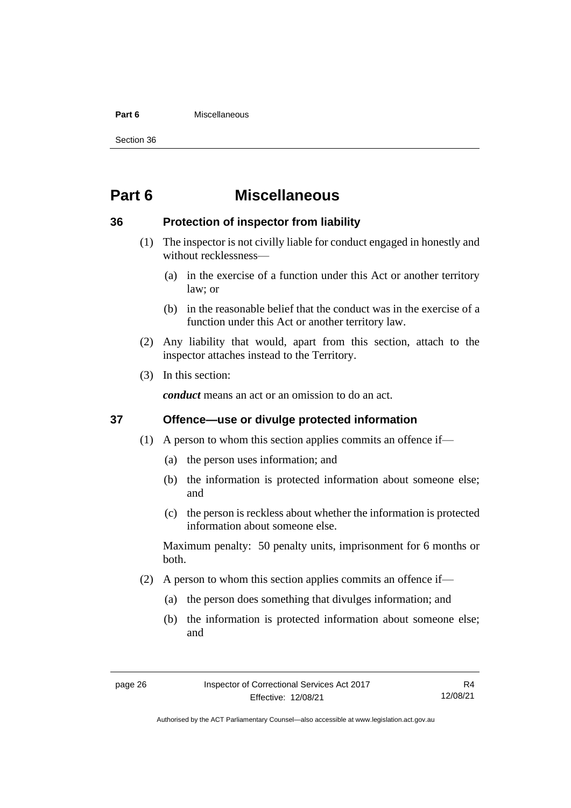#### **Part 6** Miscellaneous

Section 36

# <span id="page-31-0"></span>**Part 6 Miscellaneous**

## <span id="page-31-1"></span>**36 Protection of inspector from liability**

- (1) The inspector is not civilly liable for conduct engaged in honestly and without recklessness—
	- (a) in the exercise of a function under this Act or another territory law; or
	- (b) in the reasonable belief that the conduct was in the exercise of a function under this Act or another territory law.
- (2) Any liability that would, apart from this section, attach to the inspector attaches instead to the Territory.
- (3) In this section:

*conduct* means an act or an omission to do an act.

### <span id="page-31-2"></span>**37 Offence—use or divulge protected information**

- (1) A person to whom this section applies commits an offence if—
	- (a) the person uses information; and
	- (b) the information is protected information about someone else; and
	- (c) the person is reckless about whether the information is protected information about someone else.

Maximum penalty: 50 penalty units, imprisonment for 6 months or both.

- (2) A person to whom this section applies commits an offence if—
	- (a) the person does something that divulges information; and
	- (b) the information is protected information about someone else; and

Authorised by the ACT Parliamentary Counsel—also accessible at www.legislation.act.gov.au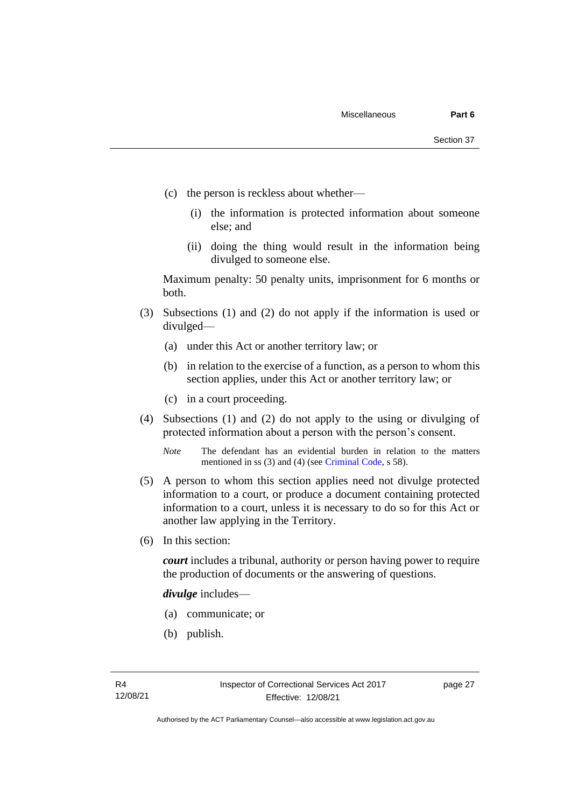- (c) the person is reckless about whether—
	- (i) the information is protected information about someone else; and
	- (ii) doing the thing would result in the information being divulged to someone else.

Maximum penalty: 50 penalty units, imprisonment for 6 months or both.

- (3) Subsections (1) and (2) do not apply if the information is used or divulged—
	- (a) under this Act or another territory law; or
	- (b) in relation to the exercise of a function, as a person to whom this section applies, under this Act or another territory law; or
	- (c) in a court proceeding.
- (4) Subsections (1) and (2) do not apply to the using or divulging of protected information about a person with the person's consent.

*Note* The defendant has an evidential burden in relation to the matters mentioned in ss (3) and (4) (see [Criminal Code,](http://www.legislation.act.gov.au/a/2002-51) s 58).

- (5) A person to whom this section applies need not divulge protected information to a court, or produce a document containing protected information to a court, unless it is necessary to do so for this Act or another law applying in the Territory.
- (6) In this section:

*court* includes a tribunal, authority or person having power to require the production of documents or the answering of questions.

*divulge* includes—

- (a) communicate; or
- (b) publish.

page 27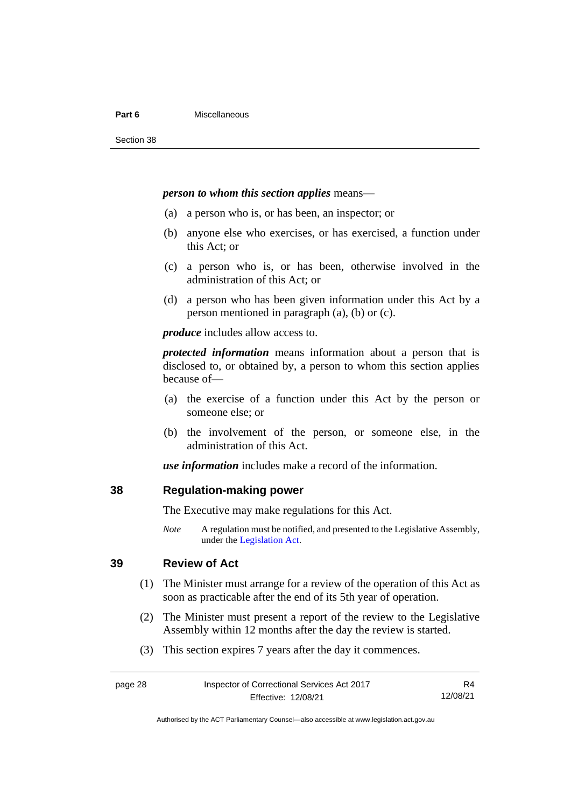#### **Part 6** Miscellaneous

#### *person to whom this section applies* means—

- (a) a person who is, or has been, an inspector; or
- (b) anyone else who exercises, or has exercised, a function under this Act; or
- (c) a person who is, or has been, otherwise involved in the administration of this Act; or
- (d) a person who has been given information under this Act by a person mentioned in paragraph (a), (b) or (c).

*produce* includes allow access to.

*protected information* means information about a person that is disclosed to, or obtained by, a person to whom this section applies because of—

- (a) the exercise of a function under this Act by the person or someone else; or
- (b) the involvement of the person, or someone else, in the administration of this Act.

*use information* includes make a record of the information.

#### <span id="page-33-0"></span>**38 Regulation-making power**

The Executive may make regulations for this Act.

*Note* A regulation must be notified, and presented to the Legislative Assembly, under the [Legislation Act.](http://www.legislation.act.gov.au/a/2001-14)

### <span id="page-33-1"></span>**39 Review of Act**

- (1) The Minister must arrange for a review of the operation of this Act as soon as practicable after the end of its 5th year of operation.
- (2) The Minister must present a report of the review to the Legislative Assembly within 12 months after the day the review is started.
- (3) This section expires 7 years after the day it commences.

R4 12/08/21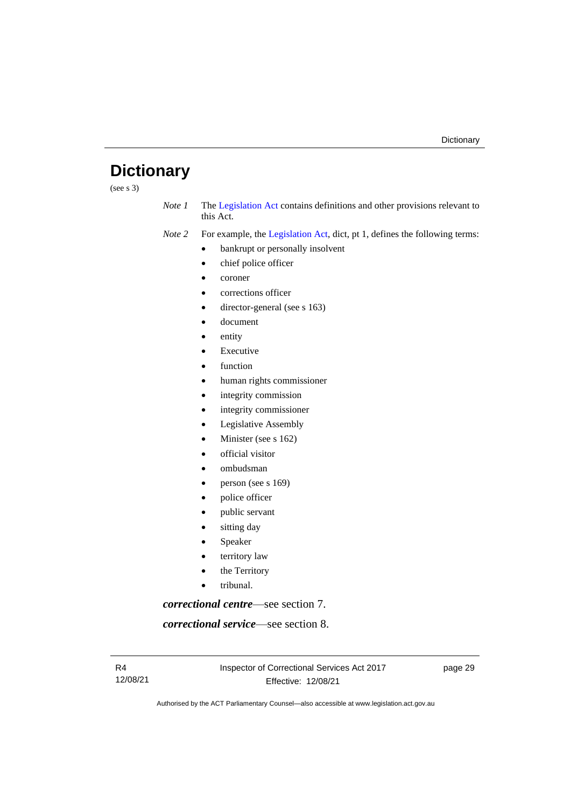# <span id="page-34-0"></span>**Dictionary**

(see s  $3)$ )

*Note 1* The [Legislation Act](http://www.legislation.act.gov.au/a/2001-14) contains definitions and other provisions relevant to this Act.

*Note 2* For example, the [Legislation Act,](http://www.legislation.act.gov.au/a/2001-14) dict, pt 1, defines the following terms:

- bankrupt or personally insolvent
- chief police officer
- coroner
- corrections officer
- director-general (see s 163)
- document
- entity
- **Executive**
- function
- human rights commissioner
- integrity commission
- integrity commissioner
- Legislative Assembly
- Minister (see s 162)
- official visitor
- ombudsman
- person (see s 169)
- police officer
- public servant
- sitting day
- **Speaker**
- territory law
- the Territory
- tribunal.

*correctional centre*—see section 7.

*correctional service*—see section 8.

Inspector of Correctional Services Act 2017 Effective: 12/08/21

page 29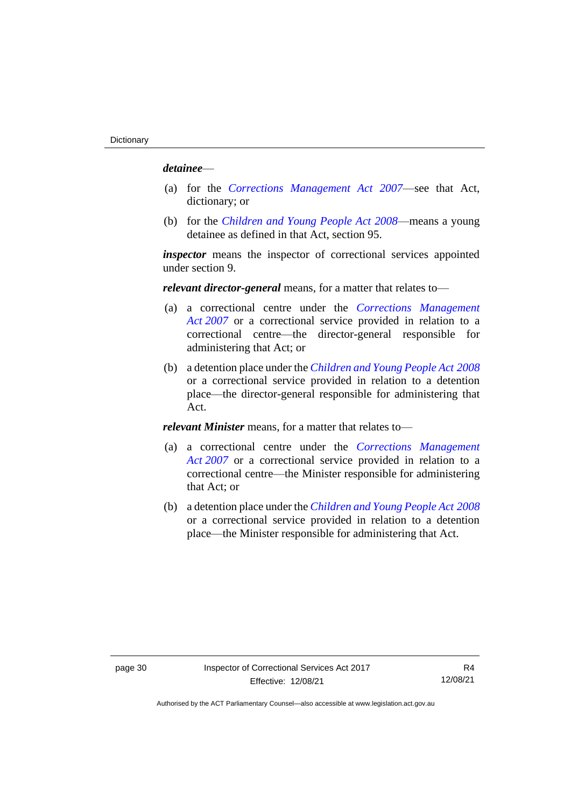#### *detainee*—

- (a) for the *[Corrections Management Act 2007](http://www.legislation.act.gov.au/a/2007-15)*—see that Act, dictionary; or
- (b) for the *[Children and Young People Act 2008](http://www.legislation.act.gov.au/a/2008-19)*—means a young detainee as defined in that Act, section 95.

*inspector* means the inspector of correctional services appointed under section 9.

*relevant director-general* means, for a matter that relates to—

- (a) a correctional centre under the *[Corrections Management](http://www.legislation.act.gov.au/a/2007-15)  Act [2007](http://www.legislation.act.gov.au/a/2007-15)* or a correctional service provided in relation to a correctional centre—the director-general responsible for administering that Act; or
- (b) a detention place under the *[Children and Young People Act](http://www.legislation.act.gov.au/a/2008-19) 2008* or a correctional service provided in relation to a detention place—the director-general responsible for administering that Act.

*relevant Minister* means, for a matter that relates to—

- (a) a correctional centre under the *[Corrections Management](http://www.legislation.act.gov.au/a/2007-15)  Act [2007](http://www.legislation.act.gov.au/a/2007-15)* or a correctional service provided in relation to a correctional centre—the Minister responsible for administering that Act; or
- (b) a detention place under the *[Children and Young People Act](http://www.legislation.act.gov.au/a/2008-19) 2008* or a correctional service provided in relation to a detention place—the Minister responsible for administering that Act.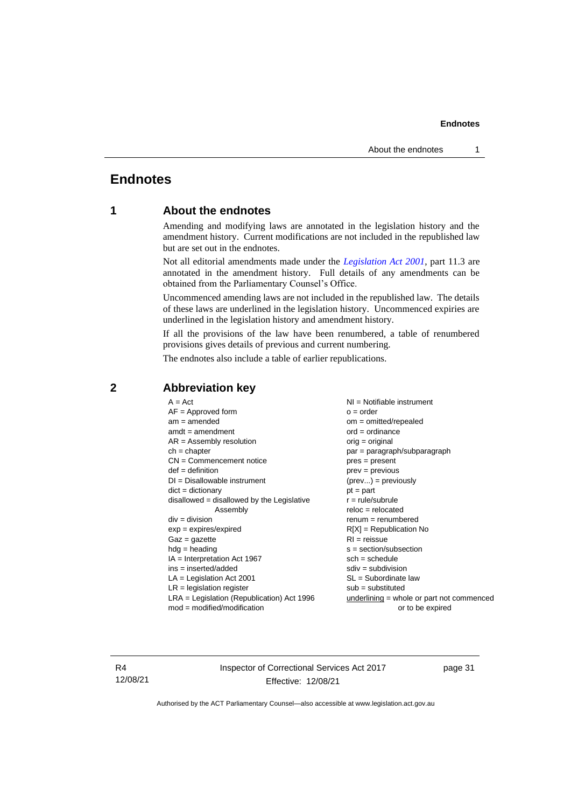# <span id="page-36-1"></span><span id="page-36-0"></span>**Endnotes**

## **1 About the endnotes**

Amending and modifying laws are annotated in the legislation history and the amendment history. Current modifications are not included in the republished law but are set out in the endnotes.

Not all editorial amendments made under the *[Legislation Act 2001](http://www.legislation.act.gov.au/a/2001-14)*, part 11.3 are annotated in the amendment history. Full details of any amendments can be obtained from the Parliamentary Counsel's Office.

Uncommenced amending laws are not included in the republished law. The details of these laws are underlined in the legislation history. Uncommenced expiries are underlined in the legislation history and amendment history.

If all the provisions of the law have been renumbered, a table of renumbered provisions gives details of previous and current numbering.

The endnotes also include a table of earlier republications.

| $A = Act$                                    | $NI =$ Notifiable instrument                |  |
|----------------------------------------------|---------------------------------------------|--|
| $AF =$ Approved form                         | $o = order$                                 |  |
| $am = amended$                               | $om = omitted/repealed$                     |  |
| $amdt = amendment$                           | $ord = ordinance$                           |  |
| $AR = Assembly resolution$                   | $orig = original$                           |  |
| $ch = chapter$                               | par = paragraph/subparagraph                |  |
| $CN =$ Commencement notice                   | pres = present                              |  |
| $def = definition$                           | prev = previous                             |  |
| $DI = Disallowable instrument$               | $(\text{prev}) = \text{previously}$         |  |
| $dict = dictionary$                          | $pt = part$                                 |  |
| disallowed = disallowed by the Legislative   | $r = rule/subrule$                          |  |
| Assembly                                     | $reloc = relocated$                         |  |
| $div = division$                             | $renum = renumbered$                        |  |
| $exp = expires/expired$                      | $R[X]$ = Republication No                   |  |
| $Gaz = gazette$                              | $RI = reissue$                              |  |
| $hdg =$ heading                              | $s = section/subsection$                    |  |
| $IA = Interpretation Act 1967$               | $sch = schedule$                            |  |
| $ins = inserted/added$                       | $sdiv = subdivision$                        |  |
| $LA =$ Legislation Act 2001                  | $SL = Subordinate$ law                      |  |
| $LR =$ legislation register                  | $sub =$ substituted                         |  |
| $LRA =$ Legislation (Republication) Act 1996 | $underlining = whole or part not commenced$ |  |
| $mod = modified/modification$                | or to be expired                            |  |
|                                              |                                             |  |

### <span id="page-36-2"></span>**2 Abbreviation key**

R4 12/08/21 Inspector of Correctional Services Act 2017 Effective: 12/08/21

page 31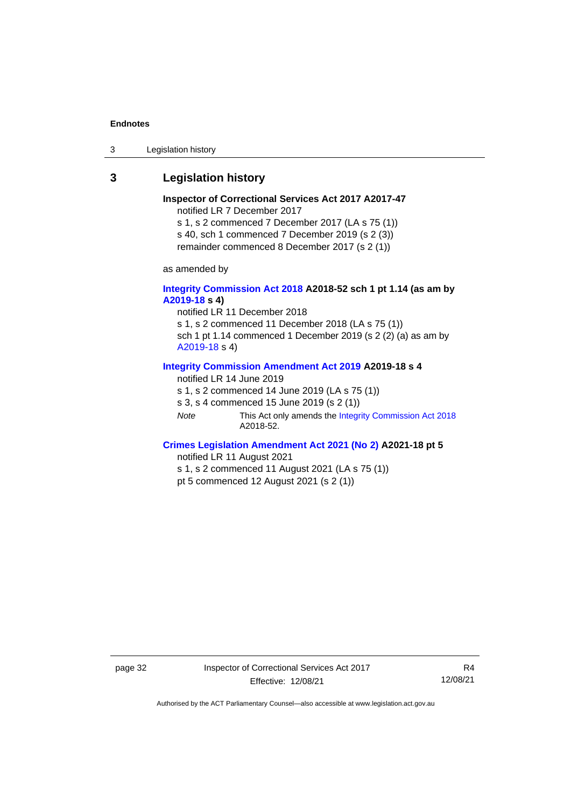3 Legislation history

## <span id="page-37-0"></span>**3 Legislation history**

#### **Inspector of Correctional Services Act 2017 A2017-47** notified LR 7 December 2017 s 1, s 2 commenced 7 December 2017 (LA s 75 (1)) s 40, sch 1 commenced 7 December 2019 (s 2 (3))

remainder commenced 8 December 2017 (s 2 (1))

as amended by

#### **[Integrity Commission Act 2018](http://www.legislation.act.gov.au/a/2018-52#history) A2018-52 sch 1 pt 1.14 (as am by [A2019-18](https://www.legislation.act.gov.au/a/2019-18) s 4)**

notified LR 11 December 2018 s 1, s 2 commenced 11 December 2018 (LA s 75 (1)) sch 1 pt 1.14 commenced 1 December 2019 (s 2 (2) (a) as am by [A2019-18](https://www.legislation.act.gov.au/a/2019-18) s 4)

#### **[Integrity Commission Amendment Act 2019](https://www.legislation.act.gov.au/a/2019-18/) A2019-18 s 4**

notified LR 14 June 2019

s 1, s 2 commenced 14 June 2019 (LA s 75 (1))

s 3, s 4 commenced 15 June 2019 (s 2 (1))

*Note* This Act only amends th[e Integrity Commission Act 2018](http://www.legislation.act.gov.au/a/2018-52#history) A2018-52.

#### **[Crimes Legislation Amendment Act 2021 \(No 2\)](https://www.legislation.act.gov.au/a/2021-18/) A2021-18 pt 5**

notified LR 11 August 2021

s 1, s 2 commenced 11 August 2021 (LA s 75 (1))

pt 5 commenced 12 August 2021 (s 2 (1))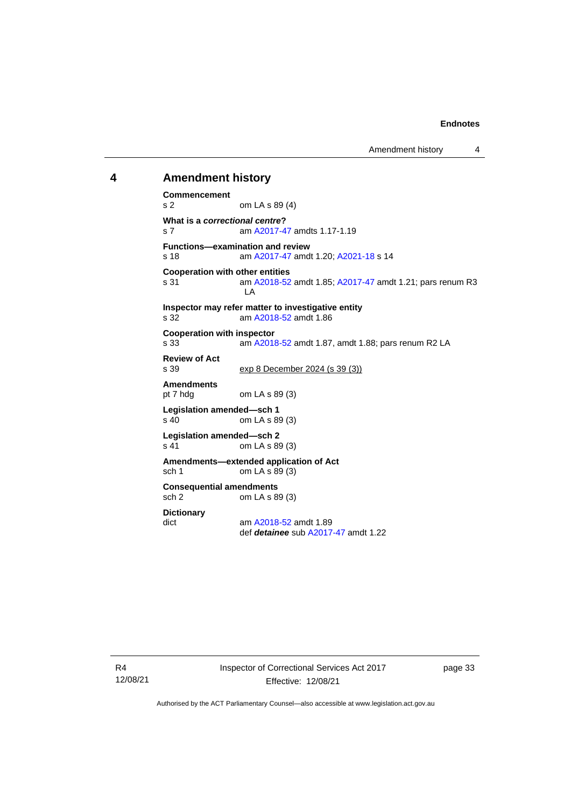Amendment history 4

### <span id="page-38-0"></span>**4 Amendment history**

```
Commencement
s 2 om LA s 89 (4)
What is a correctional centre?
s 7 am A2017-47 amdts 1.17-1.19
Functions—examination and review<br>s 18 am A2017-47 amd
                A2017-47; A2021-18 s 14
Cooperation with other entities
s 31  A2018-52; A2017-47 amdt 1.21; pars renum R3
                LA
Inspector may refer matter to investigative entity
s 32 am A2018-52 amdt 1.86
Cooperation with inspector<br>s 33 am A2018
                A2018-52 amdt 1.87, amdt 1.88; pars renum R2 LA
Review of Act
s 39 exp 8 December 2024 (s 39 (3))
Amendments
               om LA s 89(3)Legislation amended—sch 1
s 40 om LA s 89 (3)
Legislation amended—sch 2
s 41 om LA s 89 (3)
Amendments—extended application of Act
sch 1 om LA s 89 (3)
Consequential amendments
sch 2 om LA s 89 (3)
Dictionary
dict am A2018-52 amdt 1.89
               def detainee sub A2017-47 amdt 1.22
```
R4 12/08/21 Inspector of Correctional Services Act 2017 Effective: 12/08/21

page 33